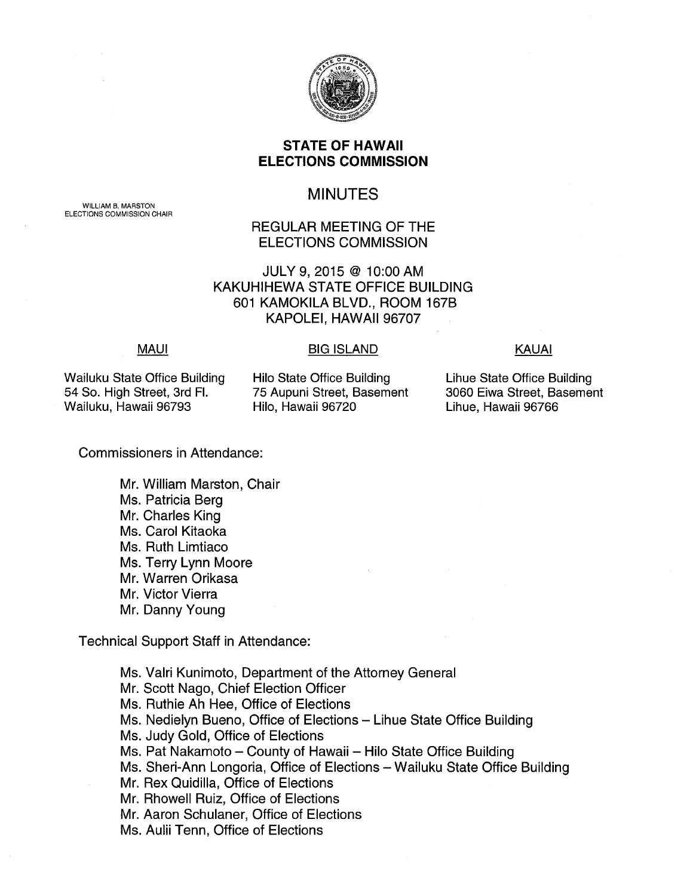

# **STATE OF HAWAII ELECTIONS COMMISSION**

# MINUTES

# REGULAR MEETING OF THE ELECTIONS COMMISSION

JULY 9, 2015@ 10:00 AM KAKUHIHEWA STATE OFFICE BUILDING 601 KAMOKILA BLVD., ROOM 167B KAPOLEI, HAWAII 96707

### **MAUI**

### BIG ISLAND KAUAI

Wailuku State Office Building 54 So. High Street, 3rd Fl. Wailuku, Hawaii 96793

Hilo State Office Building 75 Aupuni Street, Basement Hilo, Hawaii 96720

Lihue State Office Building 3060 Eiwa Street, Basement Lihue, Hawaii 96766

Commissioners in Attendance:

Mr. William Marston, Chair Ms. Patricia Berg Mr. Charles King Ms. Carol Kitaoka Ms. Ruth Limtiaco Ms. Terry Lynn Moore Mr. Warren Orikasa Mr. Victor Vierra Mr. Danny Young

Technical Support Staff in Attendance:

Ms. Valri Kunimoto, Department of the Attorney General Mr. Scott Nago, Chief Election Officer Ms. Ruthie Ah Hee, Office of Elections Ms. Nedielyn Bueno, Office of Elections - Lihue State Office Building Ms. Judy Gold, Office of Elections Ms. Pat Nakamoto - County of Hawaii - Hilo State Office Building Ms. Sheri-Ann Longoria, Office of Elections- Wailuku State Office Building Mr. Rex Quidilla, Office of Elections Mr. Rhowell Ruiz, Office of Elections Mr. Aaron Schulaner, Office of Elections Ms. Aulii Tenn, Office of Elections

WILLIAM B. MARSTON ELECTIONS COMMISSION CHAIR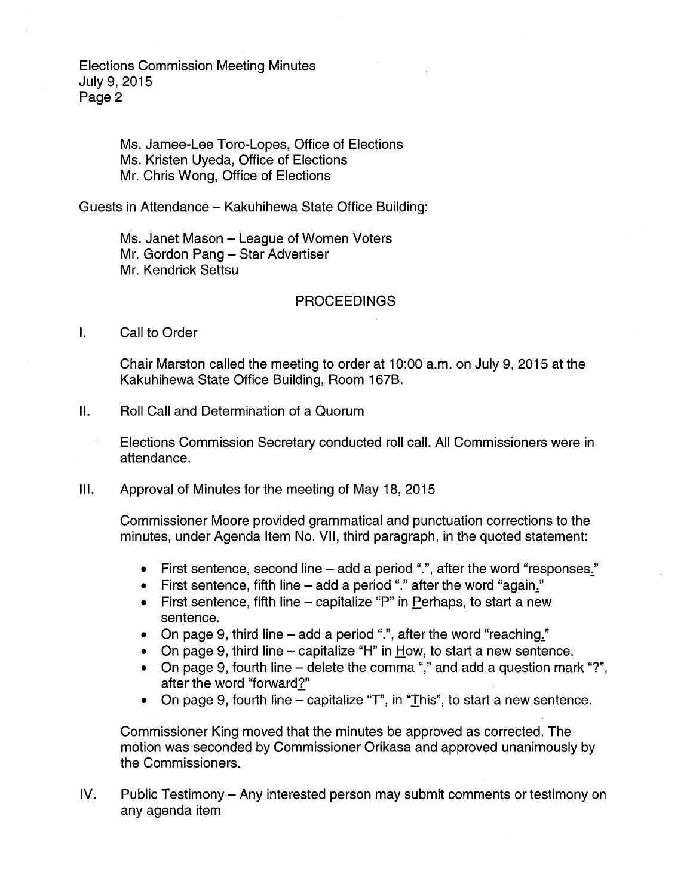> Ms. Jamee-Lee Toro-Lopes, Office of Elections Ms. Kristen Uyeda, Office of Elections Mr. Chris Wong, Office of Elections

Guests in Attendance- Kakuhihewa State Office Building:

Ms. Janet Mason - League of Women Voters Mr. Gordon Pang - Star Advertiser Mr. Kendrick Settsu

#### PROCEEDINGS

I. Call to Order

Chair Marston called the meeting to order at 10:00 a.m. on July 9, 2015 at the Kakuhihewa State Office Building, Room 167B.

II. Roll Call and Determination of a Quorum

Elections Commission Secretary conducted roll call. All Commissioners were in attendance.

Ill. Approval of Minutes for the meeting of May 18, 2015

Commissioner Moore provided grammatical and punctuation corrections to the minutes, under Agenda Item No. VII, third paragraph, in the quoted statement:

- First sentence, second line add a period ".", after the word "responses."
- First sentence, fifth line  $-$  add a period "." after the word "again."
- $\bullet$  First sentence, fifth line  $-$  capitalize "P" in Perhaps, to start a new sentence.
- On page 9, third line add a period ".", after the word "reaching."
- On page 9, third line capitalize "H" in How, to start a new sentence.
- On page 9, fourth line delete the comma "," and add a question mark "?", after the word "forward?"
- On page 9, fourth line capitalize "T", in "This", to start a new sentence.

Commissioner King moved that the minutes be approved as corrected. The motion was seconded by Commissioner Orikasa and approved unanimously by the Commissioners.

IV. Public Testimony- Any interested person may submit comments or testimony on any agenda item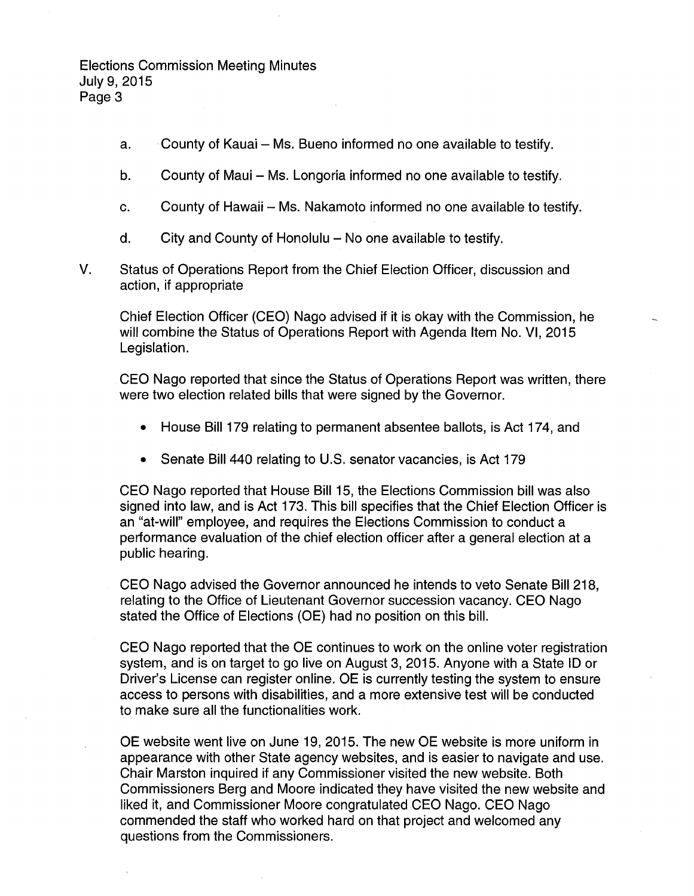- a. County of Kauai Ms. Bueno informed no one available to testify.
- b. County of Maui Ms. Longoria informed no one available to testify.
- c. County of Hawaii Ms. Nakamoto informed no one available to testify.
- $d.$  City and County of Honolulu No one available to testify.
- V. Status of Operations Report from the Chief Election Officer, discussion and action, if appropriate

Chief Election Officer (CEO) Nago advised if it is okay with the Commission, he will combine the Status of Operations Report with Agenda Item No. VI, 2015 Legislation.

CEO Nago reported that since the Status of Operations Report was written, there were two election related bills that were signed by the Governor.

- House Bill 179 relating to permanent absentee ballots, is Act 174, and
- Senate Bill 440 relating to U.S. senator vacancies, is Act 179

CEO Nago reported that House Bill 15, the Elections Commission bill was also signed into law, and is Act 173. This bill specifies that the Chief Election Officer is an "at-will" employee, and requires the Elections Commission to conduct a performance evaluation of the chief election officer after a general election at a public hearing.

CEO Nago advised the Governor announced he intends to veto Senate Bill 218, relating to the Office of Lieutenant Governor succession vacancy. CEO Nago stated the Office of Elections (OE) had no position on this bill.

CEO Nago reported that the OE continues to work on the online voter registration system, and is on target to go live on August 3, 2015. Anyone with a State ID or Driver's License can register online. OE is currently testing the system to ensure access to persons with disabilities, and a more extensive test will be conducted to make sure all the functionalities work.

OE website went live on June 19, 2015. The new OE website is more uniform in appearance with other State agency websites, and is easier to navigate and use. Chair Marston inquired if any Commissioner visited the new website. Both Commissioners Berg and Moore indicated they have visited the new website and liked it, and Commissioner Moore congratulated CEO Nago. CEO Nago commended the staff who worked hard on that project and welcomed any questions from the Commissioners.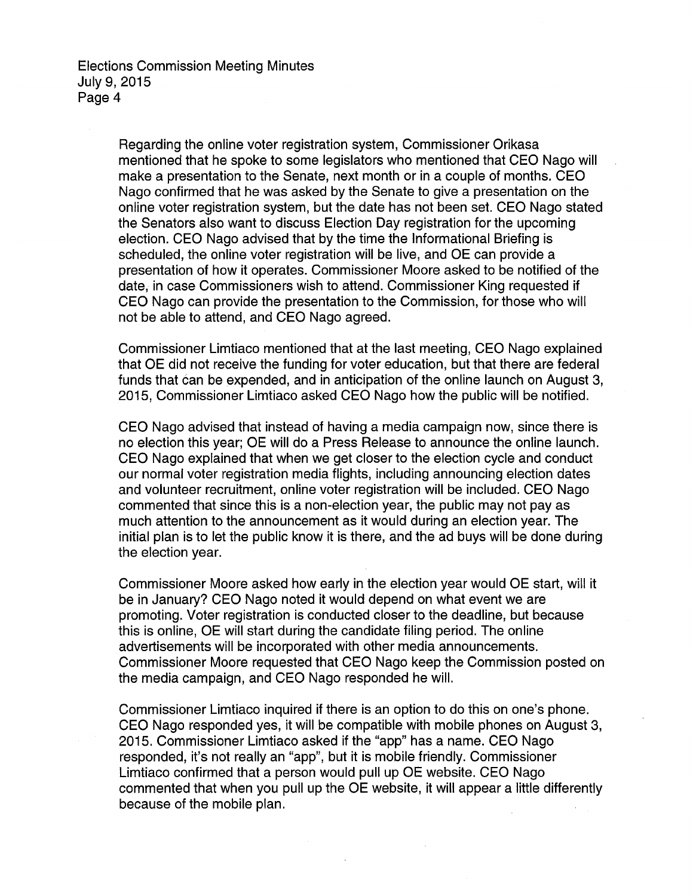> Regarding the online voter registration system, Commissioner Orikasa mentioned that he spoke to some legislators who mentioned that CEO Nago will make a presentation to the Senate, next month or in a couple of months. CEO Nago confirmed that he was asked by the Senate to give a presentation on the online voter registration system, but the date has not been set. CEO Nago stated the Senators also want to discuss Election Day registration for the upcoming election. CEO Nago advised that by the time the Informational Briefing is scheduled, the online voter registration will be live, and OE can provide a presentation of how it operates. Commissioner Moore asked to be notified of the date, in case Commissioners wish to attend. Commissioner King requested if CEO Nago can provide the presentation to the Commission, for those who will not be able to attend, and CEO Nago agreed.

> Commissioner Limtiaco mentioned that at the last meeting, CEO Nago explained that OE did not receive the funding for voter education, but that there are federal funds that can be expended, and in anticipation of the online launch on August 3, 2015, Commissioner Limtiaco asked CEO Nago how the public will be notified.

> CEO Nago advised that instead of having a media campaign now, since there is no election this year; OE will do a Press Release to announce the online launch. CEO Nago explained that when we get closer to the election cycle and conduct our normal voter registration media flights, including announcing election dates and volunteer recruitment, online voter registration will be included. CEO Nago commented that since this is a non-election year, the public may not pay as much attention to the announcement as it would during an election year. The initial plan is to let the public know it is there, and the ad buys will be done during the election year.

> Commissioner Moore asked how early in the election year would OE start, will it be in January? CEO Nago noted it would depend on what event we are promoting. Voter registration is conducted closer to the deadline, but because this is online, OE will start during the candidate filing period. The online advertisements will be incorporated with other media announcements. Commissioner Moore requested that CEO Nago keep the Commission posted on the media campaign, and CEO Nago responded he will.

> Commissioner Limtiaco inquired if there is an option to do this on one's phone. CEO Nago responded yes, it will be compatible with mobile phones on August 3, 2015. Commissioner Limtiaco asked if the "app" has a name. CEO Nago responded, it's not really an "app", but it is mobile friendly. Commissioner Limtiaco confirmed that a person would pull up OE website. CEO Nago commented that when you pull up the OE website, it will appear a little differently because of the mobile plan.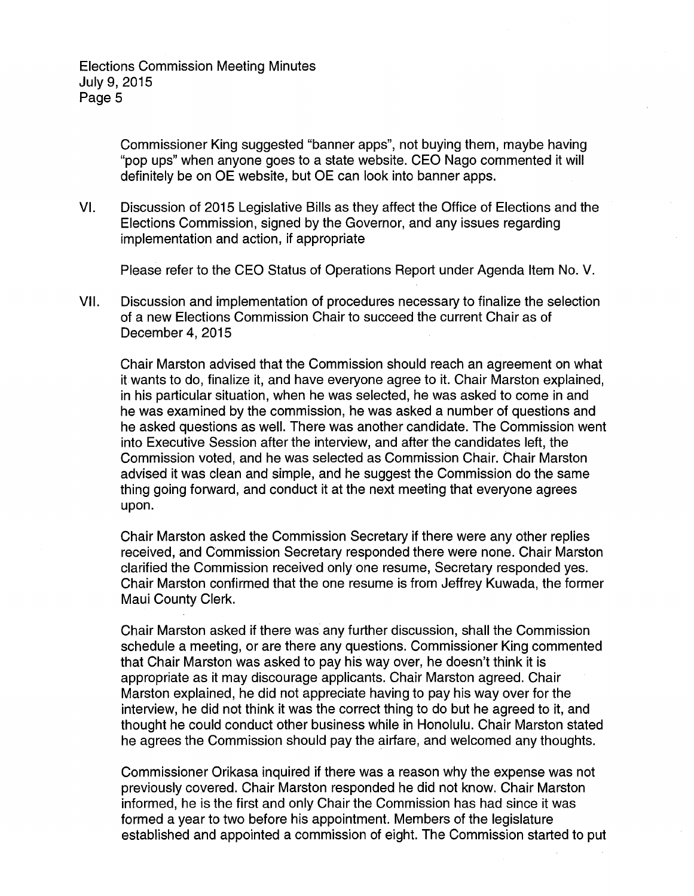Commissioner King suggested "banner apps", not buying them, maybe having "pop ups" when anyone goes to a state website. CEO Nago commented it will definitely be on OE website, but OE can look into banner apps.

VI. Discussion of 2015 Legislative Bills as they affect the Office of Elections and the Elections Commission, signed by the Governor, and any issues regarding implementation and action, if appropriate

Please refer to the CEO Status of Operations Report under Agenda Item No. V.

VII. Discussion and implementation of procedures necessary to finalize the selection of a new Elections Commission Chair to succeed the current Chair as of December 4, 2015

Chair Marston advised that the Commission should reach an agreement on what it wants to do, finalize it, and have everyone agree to it. Chair Marston explained, in his particular situation, when he was selected, he was asked to come in and he was examined by the commission, he was asked a number of questions and he asked questions as well. There was another candidate. The Commission went into Executive Session after the interview, and after the candidates left, the Commission voted, and he was selected as Commission Chair. Chair Marston advised it was clean and simple, and he suggest the Commission do the same thing going forward, and conduct it at the next meeting that everyone agrees upon.

Chair Marston asked the Commission Secretary if there were any other replies received, and Commission Secretary responded there were none. Chair Marston clarified the Commission received only one resume, Secretary responded yes. Chair Marston confirmed that the one resume is from Jeffrey Kuwada, the former Maui County Clerk.

Chair Marston asked if there was any further discussion, shall the Commission schedule a meeting, or are there any questions. Commissioner King commented that Chair Marston was asked to pay his way over, he doesn't think it is appropriate as it may discourage applicants. Chair Marston agreed. Chair Marston explained, he did not appreciate having to pay his way over for the interview, he did not think it was the correct thing to do but he agreed to it, and thought he could conduct other business while in Honolulu. Chair Marston stated he agrees the Commission should pay the airfare, and welcomed any thoughts.

Commissioner Orikasa inquired if there was a reason why the expense was not previously covered. Chair Marston responded he did not know. Chair Marston informed, he is the first and only Chair the Commission has had since it was formed a year to two before his appointment. Members of the legislature established and appointed a commission of eight. The Commission started to put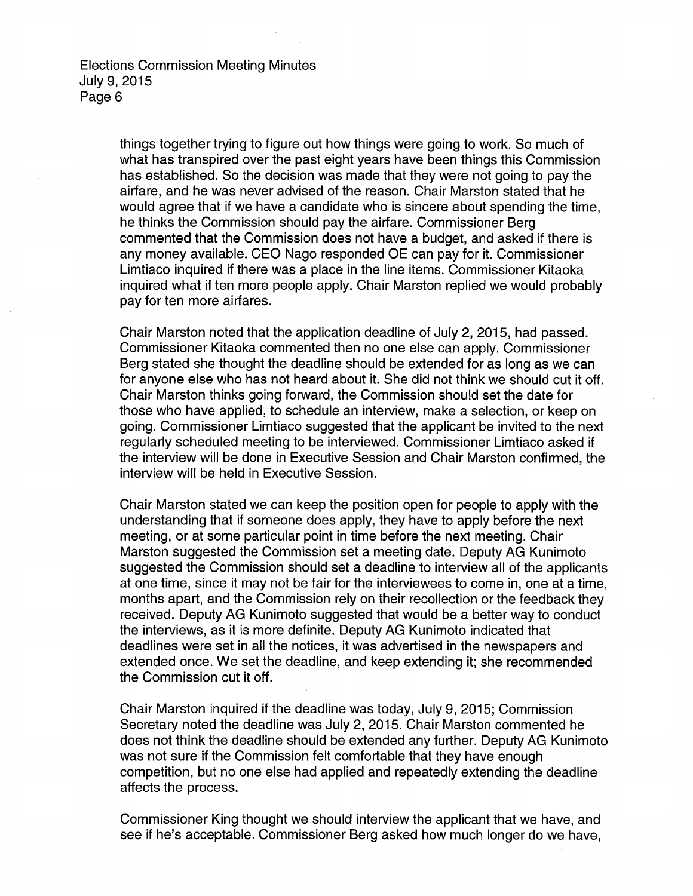> things together trying to figure out how things were going to work. So much of what has transpired over the past eight years have been things this Commission has established. So the decision was made that they were not going to pay the airfare, and he was never advised of the reason. Chair Marston stated that he would agree that if we have a candidate who is sincere about spending the time, he thinks the Commission should pay the airfare. Commissioner Berg commented that the Commission does not have a budget, and asked if there is any money available. CEO Nago responded OE can pay for it. Commissioner Limtiaco inquired if there was a place in the line items. Commissioner Kitaoka inquired what if ten more people apply. Chair Marston replied we would probably pay for ten more airfares.

> Chair Marston noted that the application deadline of July 2, 2015, had passed. Commissioner Kitaoka commented then no one else can apply. Commissioner Berg stated she thought the deadline should be extended for as long as we can for anyone else who has not heard about it. She did not think we should cut it off. Chair Marston thinks going forward, the Commission should set the date for those who have applied, to schedule an interview, make a selection, or keep on going. Commissioner Limtiaco suggested that the applicant be invited to the next regularly scheduled meeting to be interviewed. Commissioner Limtiaco asked if the interview will be done in Executive Session and Chair Marston confirmed, the interview will be held in Executive Session.

> Chair Marston stated we can keep the position open for people to apply with the understanding that if someone does apply, they have to apply before the next meeting, or at some particular point in time before the next meeting. Chair Marston suggested the Commission set a meeting date. Deputy AG Kunimoto suggested the Commission should set a deadline to interview all of the applicants at one time, since it may not be fair for the interviewees to come in, one at a time, months apart, and the Commission rely on their recollection or the feedback they received. Deputy AG Kunimoto suggested that would be a better way to conduct the interviews, as it is more definite. Deputy AG Kunimoto indicated that deadlines were set in all the notices, it was advertised in the newspapers and extended once. We set the deadline, and keep extending it; she recommended the Commission cut it off.

> Chair Marston inquired if the deadline was today, July 9, 2015; Commission Secretary noted the deadline was July 2, 2015. Chair Marston commented he does not think the deadline should be extended any further. Deputy AG Kunimoto was not sure if the Commission felt comfortable that they have enough competition, but no one else had applied and repeatedly extending the deadline affects the process.

Commissioner King thought we should interview the applicant that we have, and see if he's acceptable. Commissioner Berg asked how much longer do we have,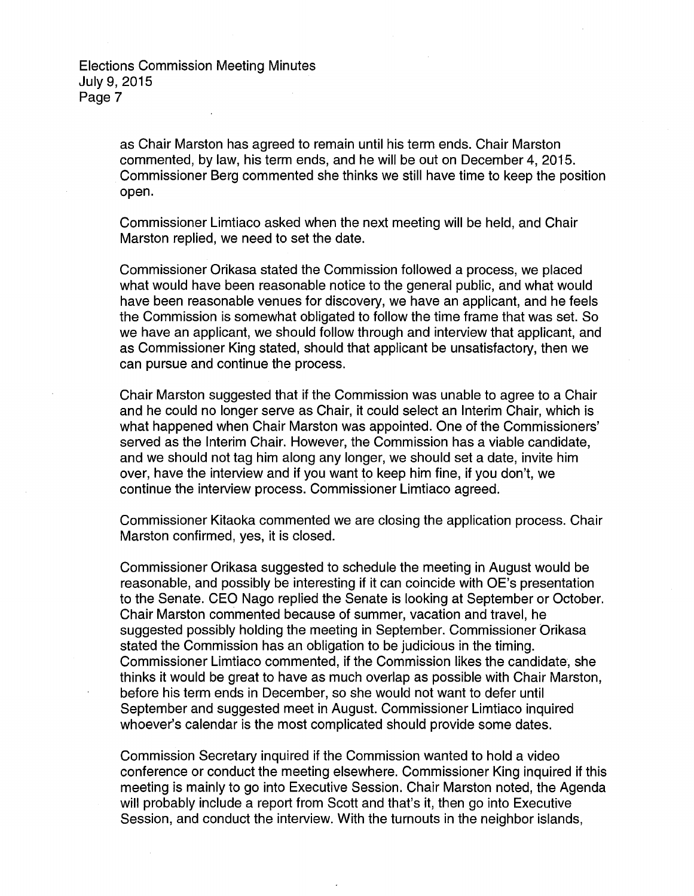> as Chair Marston has agreed to remain until his term ends. Chair Marston commented, by law, his term ends, and he will be out on December 4, 2015. Commissioner Berg commented she thinks we still have time to keep the position open.

Commissioner Limtiaco asked when the next meeting will be held, and Chair Marston replied, we need to set the date.

Commissioner Orikasa stated the Commission followed a process, we placed what would have been reasonable notice to the general public, and what would have been reasonable venues for discovery, we have an applicant, and he feels the Commission is somewhat obligated to follow the time frame that was set. So we have an applicant, we should follow through and interview that applicant, and as Commissioner King stated, should that applicant be unsatisfactory, then we can pursue and continue the process.

Chair Marston suggested that if the Commission was unable to agree to a Chair and he could no longer serve as Chair, it could select an Interim Chair, which is what happened when Chair Marston was appointed. One of the Commissioners' served as the Interim Chair. However, the Commission has a viable candidate, and we should not tag him along any longer, we should set a date, invite him over, have the interview and if you want to keep him fine, if you don't, we continue the interview process. Commissioner Limtiaco agreed.

Commissioner Kitaoka commented we are closing the application process. Chair Marston confirmed, yes, it is closed.

Commissioner Orikasa suggested to schedule the meeting in August would be reasonable, and possibly be interesting if it can coincide with OE's presentation to the Senate. CEO Nago replied the Senate is looking at September or October. Chair Marston commented because of summer, vacation and travel, he suggested possibly holding the meeting in September. Commissioner Orikasa stated the Commission has an obligation to be judicious in the timing. Commissioner Limtiaco commented, if the Commission likes the candidate, she thinks it would be great to have as much overlap as possible with Chair Marston, before his term ends in December, so she would not want to defer until September and suggested meet in August. Commissioner Limtiaco inquired whoever's calendar is the most complicated should provide some dates.

Commission Secretary inquired if the Commission wanted to hold a video conference or conduct the meeting elsewhere. Commissioner King inquired if this meeting is mainly to go into Executive Session. Chair Marston noted, the Agenda will probably include a report from Scott and that's it, then go into Executive Session, and conduct the interview. With the turnouts in the neighbor islands,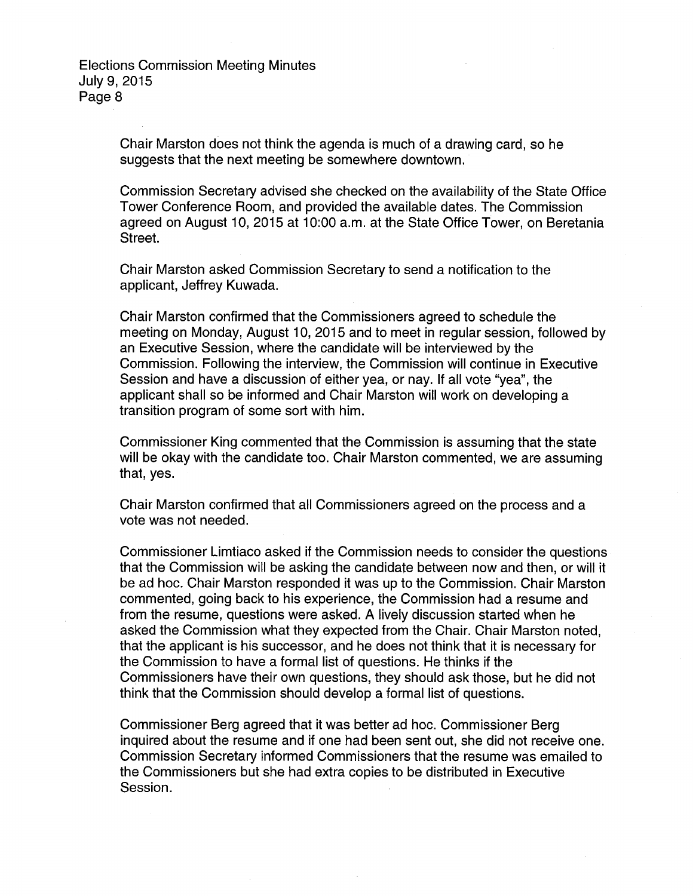> Chair Marston does not think the agenda is much of a drawing card, so he suggests that the next meeting be somewhere downtown.

Commission Secretary advised she checked on the availability of the State Office Tower Conference Room, and provided the available dates. The Commission agreed on August 10, 2015 at 10:00 a.m. at the State Office Tower, on Beretania Street.

Chair Marston asked Commission Secretary to send a notification to the applicant, Jeffrey Kuwada.

Chair Marston confirmed that the Commissioners agreed to schedule the meeting on Monday, August 10, 2015 and to meet in regular session, followed by an Executive Session, where the candidate will be interviewed by the Commission. Following the interview, the Commission will continue in Executive Session and have a discussion of either yea, or nay. If all vote "yea", the applicant shall so be informed and Chair Marston will work on developing a transition program of some sort with him.

Commissioner King commented that the Commission is assuming that the state will be okay with the candidate too. Chair Marston commented, we are assuming that, yes.

Chair Marston confirmed that all Commissioners agreed on the process and a vote was not needed.

Commissioner Limtiaco asked if the Commission needs to consider the questions that the Commission will be asking the candidate between now and then, or will it be ad hoc. Chair Marston responded it was up to the Commission. Chair Marston commented, going back to his experience, the Commission had a resume and from the resume, questions were asked. A lively discussion started when he asked the Commission what they expected from the Chair. Chair Marston noted, that the applicant is his successor, and he does not think that it is necessary for the Commission to have a formal list of questions. He thinks if the Commissioners have their own questions, they should ask those, but he did not think that the Commission should develop a formal list of questions.

Commissioner Berg agreed that it was better ad hoc. Commissioner Berg inquired about the resume and if one had been sent out, she did not receive one. Commission Secretary informed Commissioners that the resume was emailed to the Commissioners but she had extra copies to be distributed in Executive Session.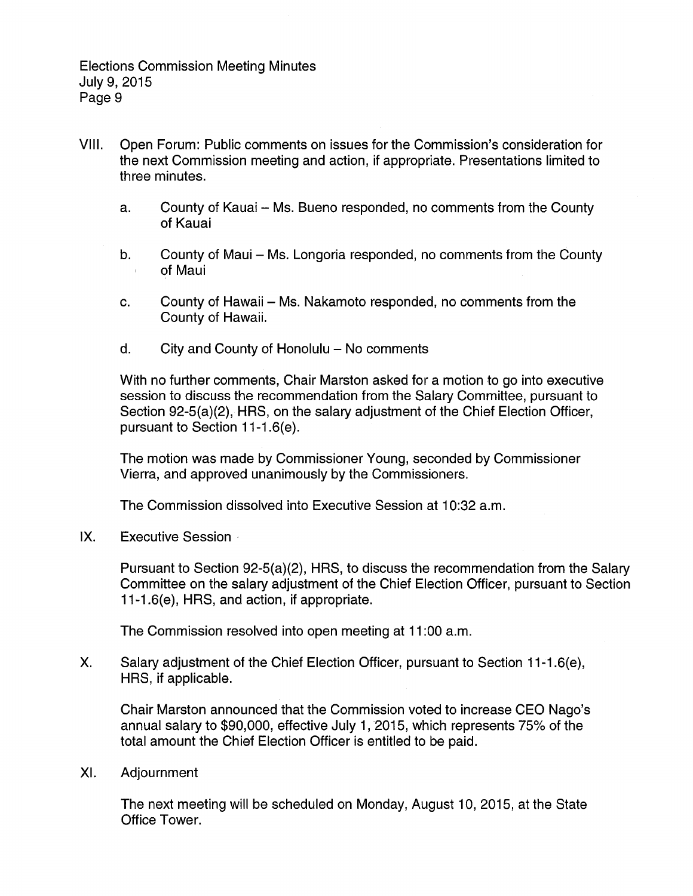- VIII. Open Forum: Public comments on issues for the Commission's consideration for the next Commission meeting and action, if appropriate. Presentations limited to three minutes.
	- a. County of Kauai Ms. Bueno responded, no comments from the County of Kauai
	- b. County of Maui Ms. Longoria responded, no comments from the County of Maui  $\bar{f}$
	- c. County of Hawaii Ms. Nakamoto responded, no comments from the County of Hawaii.
	- $d.$  City and County of Honolulu  $-$  No comments

With no further comments, Chair Marston asked for a motion to go into executive session to discuss the recommendation from the Salary Committee, pursuant to Section 92-5(a)(2), HRS, on the salary adjustment of the Chief Election Officer, pursuant to Section 11-1.6(e).

The motion was made by Commissioner Young, seconded by Commissioner Vierra, and approved unanimously by the Commissioners.

The Commission dissolved into Executive Session at 10:32 a.m.

IX. Executive Session ·

Pursuant to Section 92-5(a)(2), HRS, to discuss the recommendation from the Salary Committee on the salary adjustment of the Chief Election Officer, pursuant to Section 11-1.6(e), HRS, and action, if appropriate.

The Commission resolved into open meeting at 11 :00 a.m.

X. Salary adjustment of the Chief Election Officer, pursuant to Section 11-1.6(e), HRS, if applicable.

Chair Marston announced that the Commission voted to increase CEO Nago's annual salary to \$90,000, effective July 1, 2015, which represents 75% of the total amount the Chief Election Officer is entitled to be paid.

XI. Adjournment

The next meeting will be scheduled on Monday, August 10, 2015, at the State Office Tower.